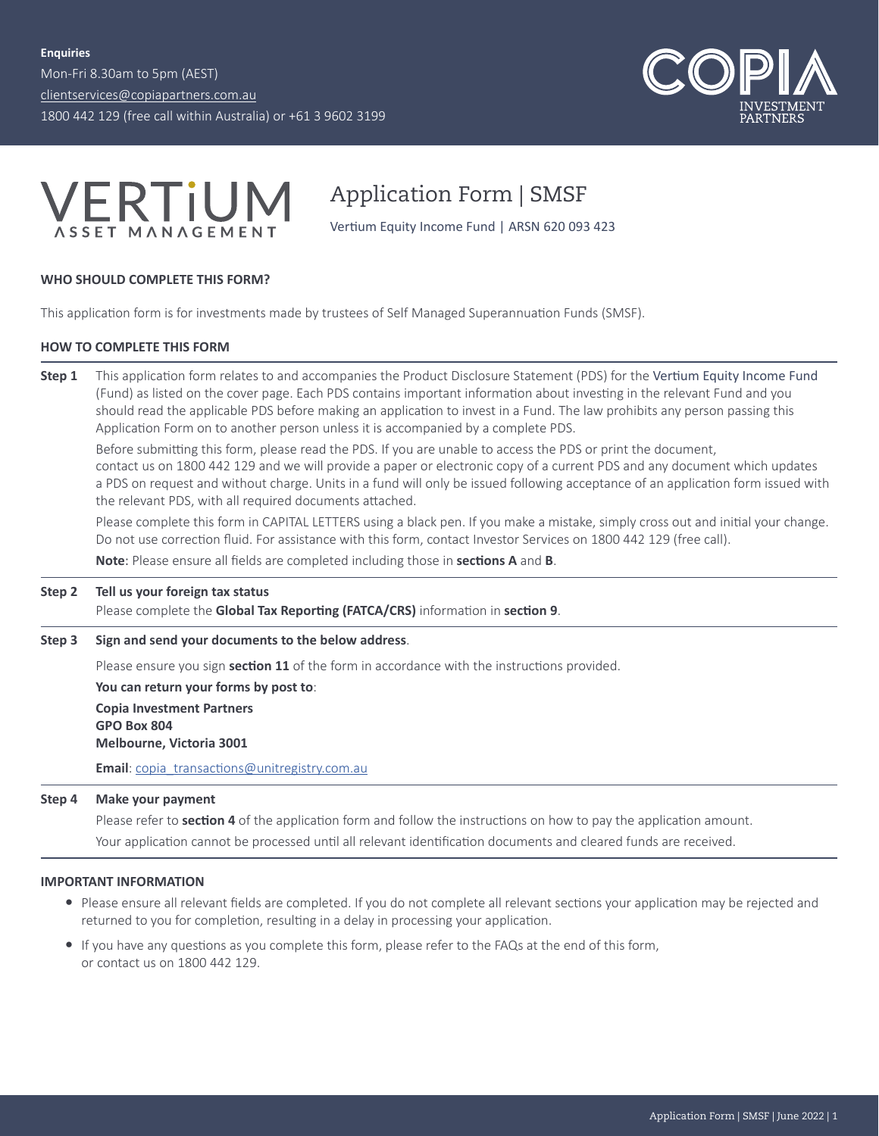Mon-Fri 8.30am to 5pm (AEST) [clientservices@copiapartners.com.au](mailto:clientservices%40copiapartners.com.au?subject=) 1800 442 129 (free call within Australia) or +61 3 9602 3199





Application Form | SMSF

Vertium Equity Income Fund | ARSN 620 093 423

#### **WHO SHOULD COMPLETE THIS FORM?**

This application form is for investments made by trustees of Self Managed Superannuation Funds (SMSF).

### **HOW TO COMPLETE THIS FORM**

**Step 1** This application form relates to and accompanies the Product Disclosure Statement (PDS) for the Vertium Equity Income Fund (Fund) as listed on the cover page. Each PDS contains important information about investing in the relevant Fund and you should read the applicable PDS before making an application to invest in a Fund. The law prohibits any person passing this Application Form on to another person unless it is accompanied by a complete PDS.

Before submitting this form, please read the PDS. If you are unable to access the PDS or print the document, contact us on 1800 442 129 and we will provide a paper or electronic copy of a current PDS and any document which updates a PDS on request and without charge. Units in a fund will only be issued following acceptance of an application form issued with the relevant PDS, with all required documents attached.

Please complete this form in CAPITAL LETTERS using a black pen. If you make a mistake, simply cross out and initial your change. Do not use correction fluid. For assistance with this form, contact Investor Services on 1800 442 129 (free call).

**Note**: Please ensure all fields are completed including those in **sections A** and **B**.

#### **Step 2 Tell us your foreign tax status**

Please complete the **Global Tax Reporting (FATCA/CRS)** information in **section 9**.

**Step 3 Sign and send your documents to the below address**.

Please ensure you sign **section 11** of the form in accordance with the instructions provided.

**You can return your forms by post to**: **Copia Investment Partners GPO Box 804 Melbourne, Victoria 3001**

**Email**: [copia\\_transactions@unitregistry.com.au](mailto:copia_transactions%40unitregistry.com.au?subject=)

#### **Step 4 Make your payment**

Please refer to **section 4** of the application form and follow the instructions on how to pay the application amount.

Your application cannot be processed until all relevant identification documents and cleared funds are received.

#### **IMPORTANT INFORMATION**

- Please ensure all relevant fields are completed. If you do not complete all relevant sections your application may be rejected and returned to you for completion, resulting in a delay in processing your application.
- y If you have any questions as you complete this form, please refer to the FAQs at the end of this form, or contact us on 1800 442 129.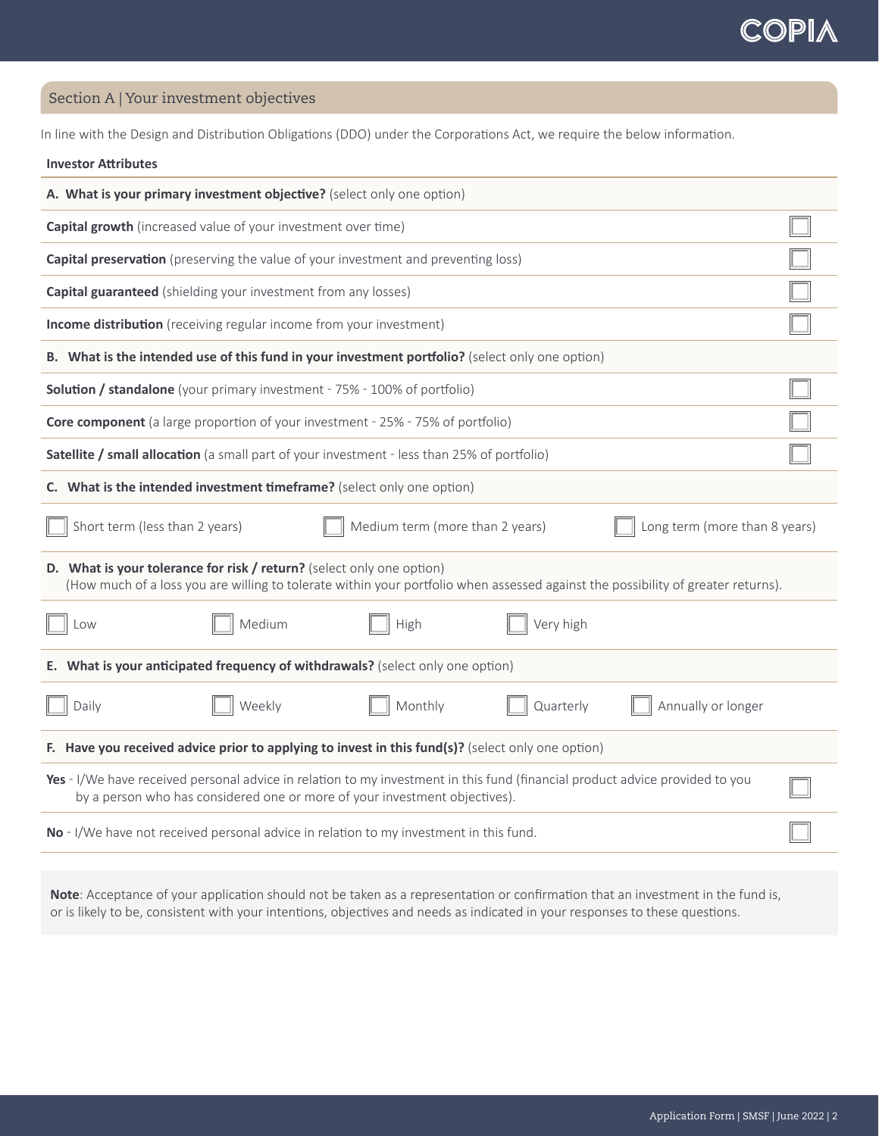Section A | Your investment objectives

**Investor Attributes**

In line with the Design and Distribution Obligations (DDO) under the Corporations Act, we require the below information.

| A. What is your primary investment objective? (select only one option)                                                                                                                                     |  |  |  |  |
|------------------------------------------------------------------------------------------------------------------------------------------------------------------------------------------------------------|--|--|--|--|
| <b>Capital growth</b> (increased value of your investment over time)                                                                                                                                       |  |  |  |  |
| <b>Capital preservation</b> (preserving the value of your investment and preventing loss)                                                                                                                  |  |  |  |  |
| <b>Capital guaranteed</b> (shielding your investment from any losses)                                                                                                                                      |  |  |  |  |
| Income distribution (receiving regular income from your investment)                                                                                                                                        |  |  |  |  |
| B. What is the intended use of this fund in your investment portfolio? (select only one option)                                                                                                            |  |  |  |  |
| <b>Solution / standalone</b> (your primary investment - 75% - 100% of portfolio)                                                                                                                           |  |  |  |  |
| <b>Core component</b> (a large proportion of your investment - 25% - 75% of portfolio)                                                                                                                     |  |  |  |  |
| Satellite / small allocation (a small part of your investment - less than 25% of portfolio)                                                                                                                |  |  |  |  |
| C. What is the intended investment timeframe? (select only one option)                                                                                                                                     |  |  |  |  |
| Short term (less than 2 years)<br>Medium term (more than 2 years)<br>Long term (more than 8 years)                                                                                                         |  |  |  |  |
| D. What is your tolerance for risk / return? (select only one option)<br>(How much of a loss you are willing to tolerate within your portfolio when assessed against the possibility of greater returns).  |  |  |  |  |
| Medium<br>High<br>Very high<br>Low                                                                                                                                                                         |  |  |  |  |
| E. What is your anticipated frequency of withdrawals? (select only one option)                                                                                                                             |  |  |  |  |
| Weekly<br>Monthly<br>Annually or longer<br>Daily<br>Quarterly                                                                                                                                              |  |  |  |  |
| F. Have you received advice prior to applying to invest in this fund(s)? (select only one option)                                                                                                          |  |  |  |  |
| Yes - I/We have received personal advice in relation to my investment in this fund (financial product advice provided to you<br>by a person who has considered one or more of your investment objectives). |  |  |  |  |
| No - I/We have not received personal advice in relation to my investment in this fund.                                                                                                                     |  |  |  |  |

**Note**: Acceptance of your application should not be taken as a representation or confirmation that an investment in the fund is, or is likely to be, consistent with your intentions, objectives and needs as indicated in your responses to these questions.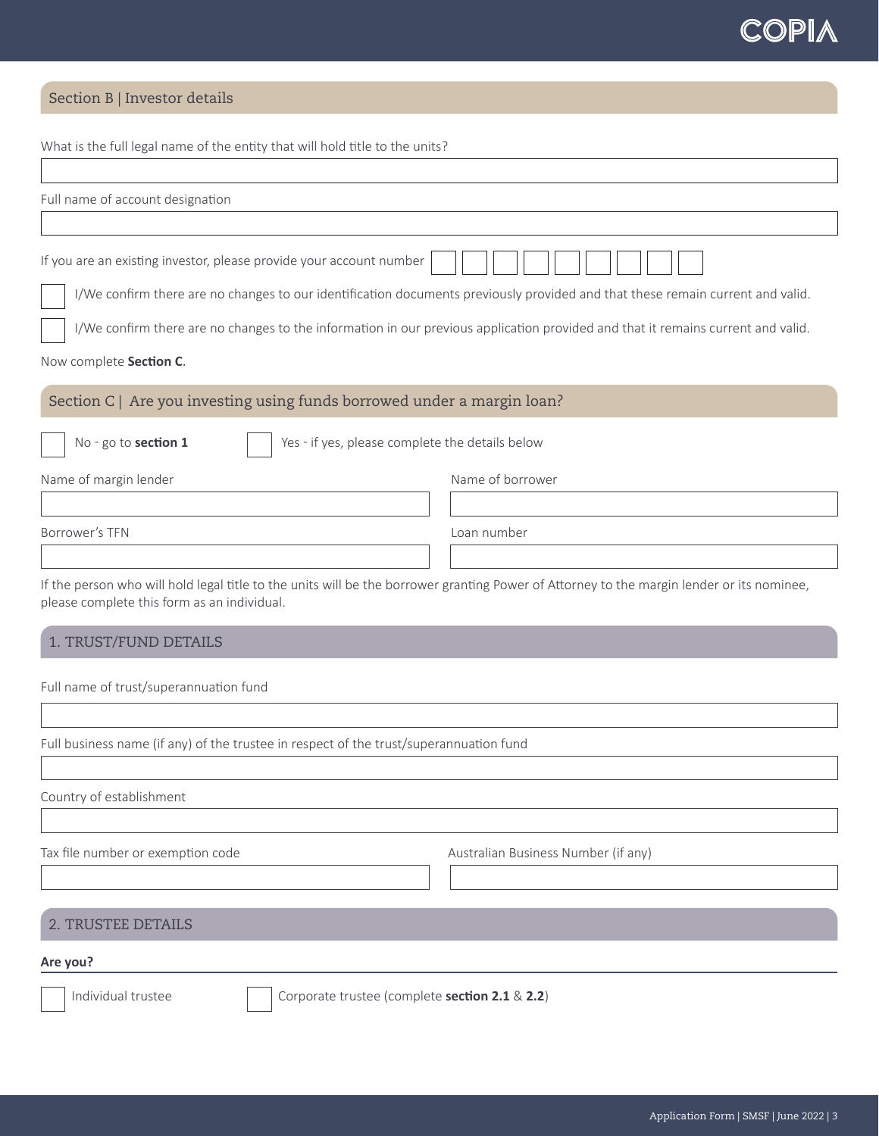## Section B | Investor details

What is the full legal name of the entity that will hold title to the units? Full name of account designation If you are an existing investor, please provide your account number I/We confirm there are no changes to our identification documents previously provided and that these remain current and valid. I/We confirm there are no changes to the information in our previous application provided and that it remains current and valid. Now complete **Section C**. Section C | Are you investing using funds borrowed under a margin loan? No - go to **section 1** | Yes - if yes, please complete the details below Name of margin lender Name of borrower Borrower's TFN Loan number If the person who will hold legal title to the units will be the borrower granting Power of Attorney to the margin lender or its nominee, please complete this form as an individual. 1. TRUST/FUND DETAILS Full name of trust/superannuation fund Full business name (if any) of the trustee in respect of the trust/superannuation fund

Country of establishment

Tax file number or exemption code and the Australian Business Number (if any)

## 2. TRUSTEE DETAILS

#### **Are you?**

Individual trustee **Corporate trustee (complete section 2.1** & 2.2)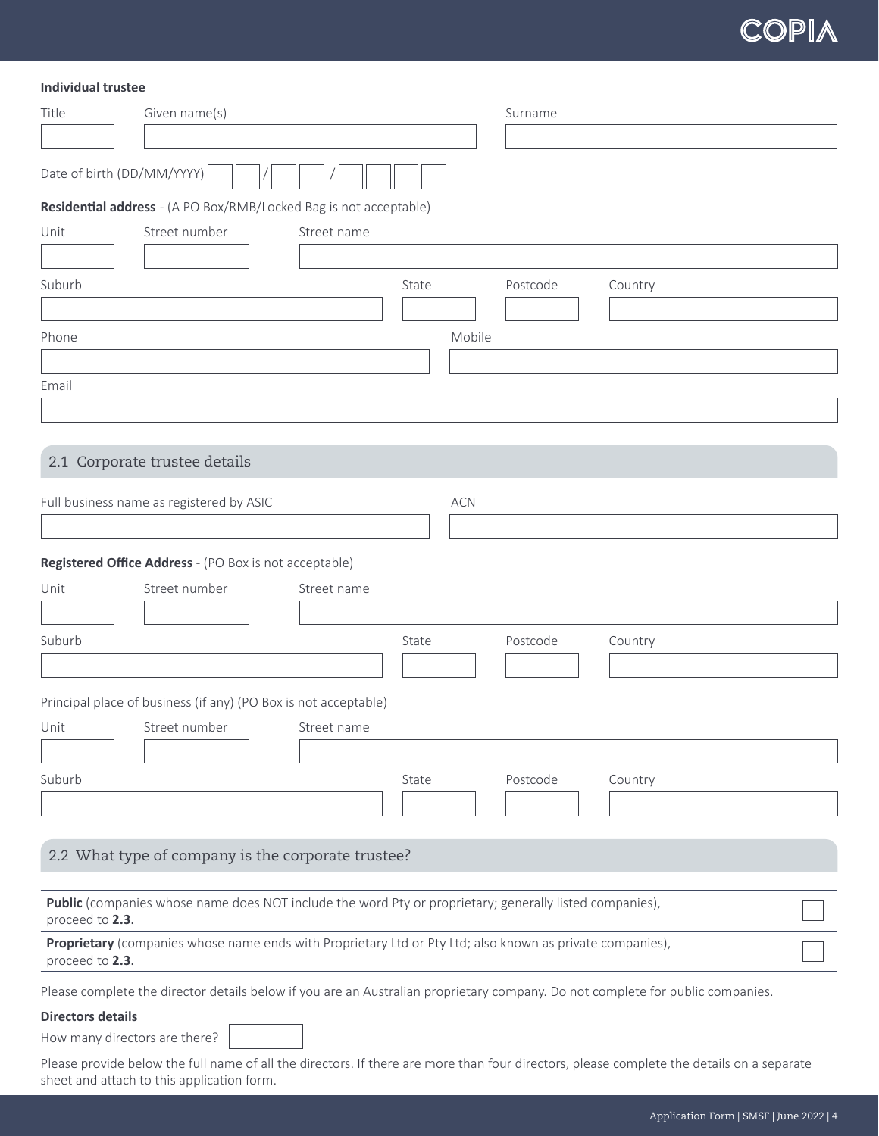### **Individual trustee**

sheet and attach to this application form.

| Date of birth (DD/MM/YYYY)<br>Residential address - (A PO Box/RMB/Locked Bag is not acceptable)<br>Street number<br>Street name<br>State<br>Postcode<br>Country<br>Mobile<br>2.1 Corporate trustee details<br>Full business name as registered by ASIC<br><b>ACN</b><br>Registered Office Address - (PO Box is not acceptable)<br>Street number<br>Unit<br>Street name<br>Suburb<br>Postcode<br>Country<br>State<br>Principal place of business (if any) (PO Box is not acceptable)<br>Street number<br>Street name<br>Postcode<br>State<br>Country<br>2.2 What type of company is the corporate trustee?<br>Public (companies whose name does NOT include the word Pty or proprietary; generally listed companies),<br>proceed to 2.3.<br>Proprietary (companies whose name ends with Proprietary Ltd or Pty Ltd; also known as private companies),<br>proceed to 2.3.<br>Please complete the director details below if you are an Australian proprietary company. Do not complete for public companies.<br><b>Directors details</b><br>How many directors are there?<br>Please provide below the full name of all the directors. If there are more than four directors, please complete the details on a separate | Title  | Given name(s) |  | Surname |  |
|---------------------------------------------------------------------------------------------------------------------------------------------------------------------------------------------------------------------------------------------------------------------------------------------------------------------------------------------------------------------------------------------------------------------------------------------------------------------------------------------------------------------------------------------------------------------------------------------------------------------------------------------------------------------------------------------------------------------------------------------------------------------------------------------------------------------------------------------------------------------------------------------------------------------------------------------------------------------------------------------------------------------------------------------------------------------------------------------------------------------------------------------------------------------------------------------------------------------|--------|---------------|--|---------|--|
|                                                                                                                                                                                                                                                                                                                                                                                                                                                                                                                                                                                                                                                                                                                                                                                                                                                                                                                                                                                                                                                                                                                                                                                                                     |        |               |  |         |  |
|                                                                                                                                                                                                                                                                                                                                                                                                                                                                                                                                                                                                                                                                                                                                                                                                                                                                                                                                                                                                                                                                                                                                                                                                                     |        |               |  |         |  |
|                                                                                                                                                                                                                                                                                                                                                                                                                                                                                                                                                                                                                                                                                                                                                                                                                                                                                                                                                                                                                                                                                                                                                                                                                     |        |               |  |         |  |
|                                                                                                                                                                                                                                                                                                                                                                                                                                                                                                                                                                                                                                                                                                                                                                                                                                                                                                                                                                                                                                                                                                                                                                                                                     | Unit   |               |  |         |  |
|                                                                                                                                                                                                                                                                                                                                                                                                                                                                                                                                                                                                                                                                                                                                                                                                                                                                                                                                                                                                                                                                                                                                                                                                                     |        |               |  |         |  |
|                                                                                                                                                                                                                                                                                                                                                                                                                                                                                                                                                                                                                                                                                                                                                                                                                                                                                                                                                                                                                                                                                                                                                                                                                     | Suburb |               |  |         |  |
|                                                                                                                                                                                                                                                                                                                                                                                                                                                                                                                                                                                                                                                                                                                                                                                                                                                                                                                                                                                                                                                                                                                                                                                                                     |        |               |  |         |  |
|                                                                                                                                                                                                                                                                                                                                                                                                                                                                                                                                                                                                                                                                                                                                                                                                                                                                                                                                                                                                                                                                                                                                                                                                                     | Phone  |               |  |         |  |
|                                                                                                                                                                                                                                                                                                                                                                                                                                                                                                                                                                                                                                                                                                                                                                                                                                                                                                                                                                                                                                                                                                                                                                                                                     |        |               |  |         |  |
|                                                                                                                                                                                                                                                                                                                                                                                                                                                                                                                                                                                                                                                                                                                                                                                                                                                                                                                                                                                                                                                                                                                                                                                                                     | Email  |               |  |         |  |
|                                                                                                                                                                                                                                                                                                                                                                                                                                                                                                                                                                                                                                                                                                                                                                                                                                                                                                                                                                                                                                                                                                                                                                                                                     |        |               |  |         |  |
|                                                                                                                                                                                                                                                                                                                                                                                                                                                                                                                                                                                                                                                                                                                                                                                                                                                                                                                                                                                                                                                                                                                                                                                                                     |        |               |  |         |  |
|                                                                                                                                                                                                                                                                                                                                                                                                                                                                                                                                                                                                                                                                                                                                                                                                                                                                                                                                                                                                                                                                                                                                                                                                                     |        |               |  |         |  |
|                                                                                                                                                                                                                                                                                                                                                                                                                                                                                                                                                                                                                                                                                                                                                                                                                                                                                                                                                                                                                                                                                                                                                                                                                     |        |               |  |         |  |
|                                                                                                                                                                                                                                                                                                                                                                                                                                                                                                                                                                                                                                                                                                                                                                                                                                                                                                                                                                                                                                                                                                                                                                                                                     |        |               |  |         |  |
|                                                                                                                                                                                                                                                                                                                                                                                                                                                                                                                                                                                                                                                                                                                                                                                                                                                                                                                                                                                                                                                                                                                                                                                                                     |        |               |  |         |  |
|                                                                                                                                                                                                                                                                                                                                                                                                                                                                                                                                                                                                                                                                                                                                                                                                                                                                                                                                                                                                                                                                                                                                                                                                                     |        |               |  |         |  |
|                                                                                                                                                                                                                                                                                                                                                                                                                                                                                                                                                                                                                                                                                                                                                                                                                                                                                                                                                                                                                                                                                                                                                                                                                     |        |               |  |         |  |
|                                                                                                                                                                                                                                                                                                                                                                                                                                                                                                                                                                                                                                                                                                                                                                                                                                                                                                                                                                                                                                                                                                                                                                                                                     |        |               |  |         |  |
|                                                                                                                                                                                                                                                                                                                                                                                                                                                                                                                                                                                                                                                                                                                                                                                                                                                                                                                                                                                                                                                                                                                                                                                                                     |        |               |  |         |  |
|                                                                                                                                                                                                                                                                                                                                                                                                                                                                                                                                                                                                                                                                                                                                                                                                                                                                                                                                                                                                                                                                                                                                                                                                                     |        |               |  |         |  |
|                                                                                                                                                                                                                                                                                                                                                                                                                                                                                                                                                                                                                                                                                                                                                                                                                                                                                                                                                                                                                                                                                                                                                                                                                     |        |               |  |         |  |
|                                                                                                                                                                                                                                                                                                                                                                                                                                                                                                                                                                                                                                                                                                                                                                                                                                                                                                                                                                                                                                                                                                                                                                                                                     | Unit   |               |  |         |  |
|                                                                                                                                                                                                                                                                                                                                                                                                                                                                                                                                                                                                                                                                                                                                                                                                                                                                                                                                                                                                                                                                                                                                                                                                                     |        |               |  |         |  |
|                                                                                                                                                                                                                                                                                                                                                                                                                                                                                                                                                                                                                                                                                                                                                                                                                                                                                                                                                                                                                                                                                                                                                                                                                     | Suburb |               |  |         |  |
|                                                                                                                                                                                                                                                                                                                                                                                                                                                                                                                                                                                                                                                                                                                                                                                                                                                                                                                                                                                                                                                                                                                                                                                                                     |        |               |  |         |  |
|                                                                                                                                                                                                                                                                                                                                                                                                                                                                                                                                                                                                                                                                                                                                                                                                                                                                                                                                                                                                                                                                                                                                                                                                                     |        |               |  |         |  |
|                                                                                                                                                                                                                                                                                                                                                                                                                                                                                                                                                                                                                                                                                                                                                                                                                                                                                                                                                                                                                                                                                                                                                                                                                     |        |               |  |         |  |
|                                                                                                                                                                                                                                                                                                                                                                                                                                                                                                                                                                                                                                                                                                                                                                                                                                                                                                                                                                                                                                                                                                                                                                                                                     |        |               |  |         |  |
|                                                                                                                                                                                                                                                                                                                                                                                                                                                                                                                                                                                                                                                                                                                                                                                                                                                                                                                                                                                                                                                                                                                                                                                                                     |        |               |  |         |  |
|                                                                                                                                                                                                                                                                                                                                                                                                                                                                                                                                                                                                                                                                                                                                                                                                                                                                                                                                                                                                                                                                                                                                                                                                                     |        |               |  |         |  |
|                                                                                                                                                                                                                                                                                                                                                                                                                                                                                                                                                                                                                                                                                                                                                                                                                                                                                                                                                                                                                                                                                                                                                                                                                     |        |               |  |         |  |
|                                                                                                                                                                                                                                                                                                                                                                                                                                                                                                                                                                                                                                                                                                                                                                                                                                                                                                                                                                                                                                                                                                                                                                                                                     |        |               |  |         |  |
|                                                                                                                                                                                                                                                                                                                                                                                                                                                                                                                                                                                                                                                                                                                                                                                                                                                                                                                                                                                                                                                                                                                                                                                                                     |        |               |  |         |  |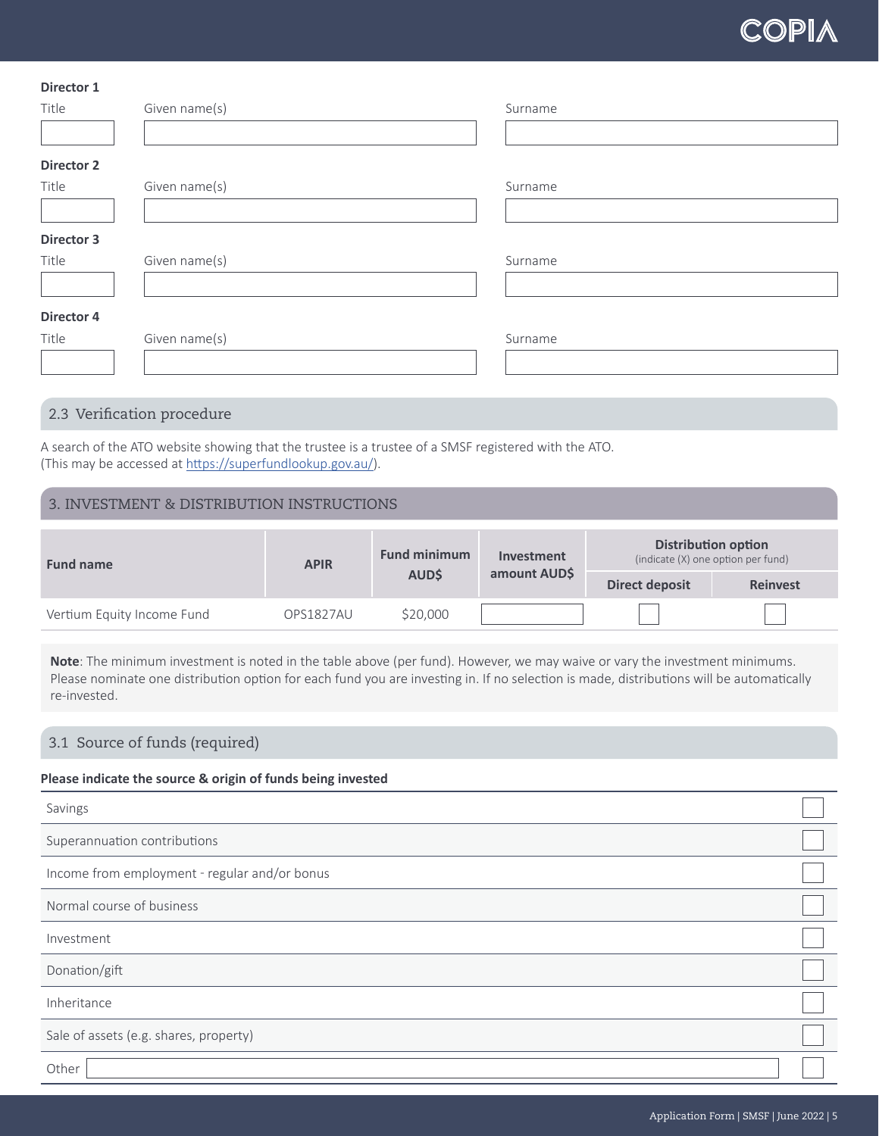| Director 1        |               |         |  |
|-------------------|---------------|---------|--|
| Title             | Given name(s) | Surname |  |
|                   |               |         |  |
| <b>Director 2</b> |               |         |  |
| Title             | Given name(s) | Surname |  |
|                   |               |         |  |
| <b>Director 3</b> |               |         |  |
| Title             | Given name(s) | Surname |  |
|                   |               |         |  |
| Director 4        |               |         |  |
| Title             | Given name(s) | Surname |  |
|                   |               |         |  |
|                   |               |         |  |

# 2.3 Verification procedure

A search of the ATO website showing that the trustee is a trustee of a SMSF registered with the ATO. (This may be accessed at <https://superfundlookup.gov.au/>).

# 3. INVESTMENT & DISTRIBUTION INSTRUCTIONS

| <b>Fund name</b>           | <b>APIR</b>      | <b>Fund minimum</b> | Investment   |                | <b>Distribution option</b><br>(indicate (X) one option per fund) |
|----------------------------|------------------|---------------------|--------------|----------------|------------------------------------------------------------------|
|                            |                  | <b>AUD\$</b>        | amount AUD\$ | Direct deposit | <b>Reinvest</b>                                                  |
| Vertium Equity Income Fund | <b>OPS1827AU</b> | \$20,000            |              |                |                                                                  |

Note: The minimum investment is noted in the table above (per fund). However, we may waive or vary the investment minimums. Please nominate one distribution option for each fund you are investing in. If no selection is made, distributions will be automatically re-invested.

# 3.1 Source of funds (required)

## **Please indicate the source & origin of funds being invested**

| Savings                                       |  |
|-----------------------------------------------|--|
| Superannuation contributions                  |  |
| Income from employment - regular and/or bonus |  |
| Normal course of business                     |  |
| Investment                                    |  |
| Donation/gift                                 |  |
| Inheritance                                   |  |
| Sale of assets (e.g. shares, property)        |  |
| Other                                         |  |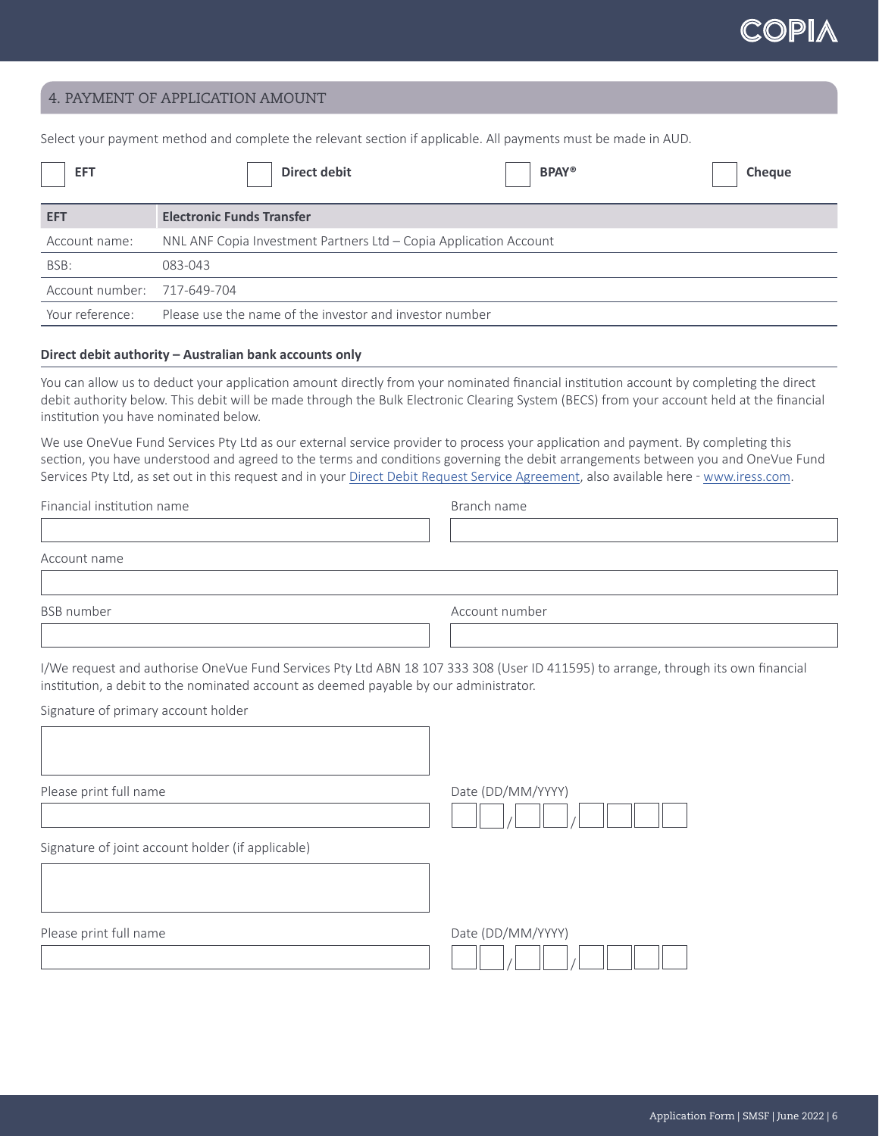$\begin{array}{c} \begin{array}{c} \begin{array}{c} \begin{array}{c} \end{array}\\ \end{array} \end{array} \end{array} \end{array} \end{array}$ 

## 4. PAYMENT OF APPLICATION AMOUNT

Select your payment method and complete the relevant section if applicable. All payments must be made in AUD.

| <b>EFT</b>                  | <b>BPAY®</b><br>Direct debit<br><b>Cheque</b>                     |
|-----------------------------|-------------------------------------------------------------------|
| <b>EFT</b>                  | <b>Electronic Funds Transfer</b>                                  |
| Account name:               | NNL ANF Copia Investment Partners Ltd - Copia Application Account |
| BSB:                        | 083-043                                                           |
| Account number: 717-649-704 |                                                                   |
| Your reference:             | Please use the name of the investor and investor number           |

#### **Direct debit authority – Australian bank accounts only**

You can allow us to deduct your application amount directly from your nominated financial institution account by completing the direct debit authority below. This debit will be made through the Bulk Electronic Clearing System (BECS) from your account held at the financial institution you have nominated below.

We use OneVue Fund Services Pty Ltd as our external service provider to process your application and payment. By completing this section, you have understood and agreed to the terms and conditions governing the debit arrangements between you and OneVue Fund Services Pty Ltd, as set out in this request and in your [Direct Debit Request Service Agreement](https://www.iress.com/media/documents/OneVue_Fund_Services_Direct_Debit_Request_Services_Agreement-Oct21.pdf), also available here - [www.iress.com.](http://www.iress.com)

Financial institution name **Branch 12** and the Branch name

Account name

BSB number and a settlement of the settlement of the settlement of the Account number

I/We request and authorise OneVue Fund Services Pty Ltd ABN 18 107 333 308 (User ID 411595) to arrange, through its own financial institution, a debit to the nominated account as deemed payable by our administrator.

Signature of primary account holder

Please print full name  $D = D$  and  $D = D$  and  $D = D$  and  $D = D$  and  $D = D$  and  $D = D$  and  $D = D$  and  $D = D$  and  $D = D$  and  $D = D$  and  $D = D$  and  $D = D$  and  $D = D$  and  $D = D$  and  $D = D$  and  $D = D$  and  $D = D$  and  $D = D$  and  $D = D$  and  $D = D$  and

Signature of joint account holder (if applicable)

 $\Box$  /  $\Box$  /

Please print full name  $D = D$  and  $D = D$  and  $D = D$  and  $D = D$  and  $D = D$  and  $D = D$  are  $D = D$  and  $D = D$  and  $D = D$  and  $D = D$  and  $D = D$  and  $D = D$  and  $D = D$  and  $D = D$  and  $D = D$  and  $D = D$  and  $D = D$  and  $D = D$  and  $D = D$  and  $D = D$  and

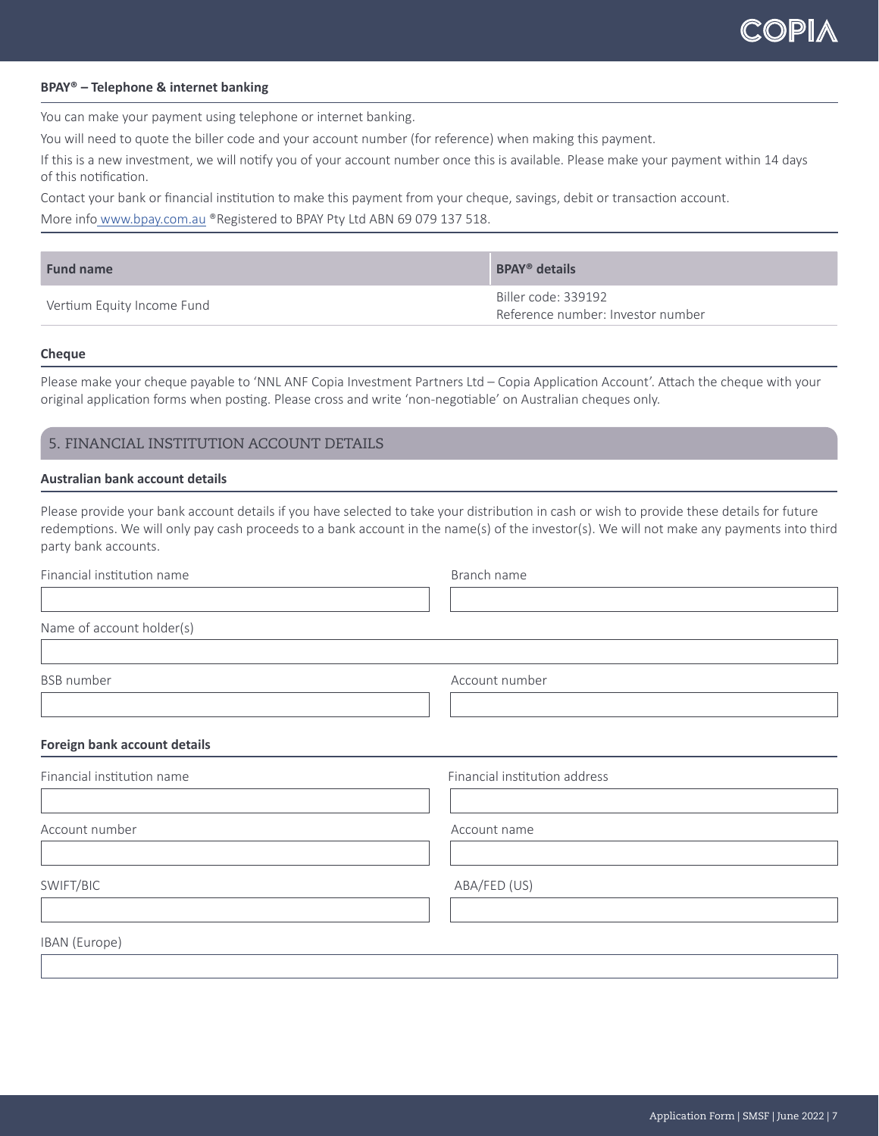#### **BPAY® – Telephone & internet banking**

You can make your payment using telephone or internet banking.

You will need to quote the biller code and your account number (for reference) when making this payment.

If this is a new investment, we will notify you of your account number once this is available. Please make your payment within 14 days of this notification.

Contact your bank or financial institution to make this payment from your cheque, savings, debit or transaction account.

More info [www.bpay.com.au](http://www.bpay.com.au) ®Registered to BPAY Pty Ltd ABN 69 079 137 518.

| <b>Fund name</b>           | <b>BPAY<sup>®</sup></b> details                          |
|----------------------------|----------------------------------------------------------|
| Vertium Equity Income Fund | Biller code: 339192<br>Reference number: Investor number |

#### **Cheque**

Please make your cheque payable to 'NNL ANF Copia Investment Partners Ltd – Copia Application Account'. Attach the cheque with your original application forms when posting. Please cross and write 'non-negotiable' on Australian cheques only.

## 5. FINANCIAL INSTITUTION ACCOUNT DETAILS

#### **Australian bank account details**

Please provide your bank account details if you have selected to take your distribution in cash or wish to provide these details for future redemptions. We will only pay cash proceeds to a bank account in the name(s) of the investor(s). We will not make any payments into third party bank accounts.

| Branch name                   |
|-------------------------------|
|                               |
|                               |
|                               |
| Account number                |
|                               |
|                               |
| Financial institution address |
|                               |
| Account name                  |
|                               |
| ABA/FED (US)                  |
|                               |
|                               |
|                               |
|                               |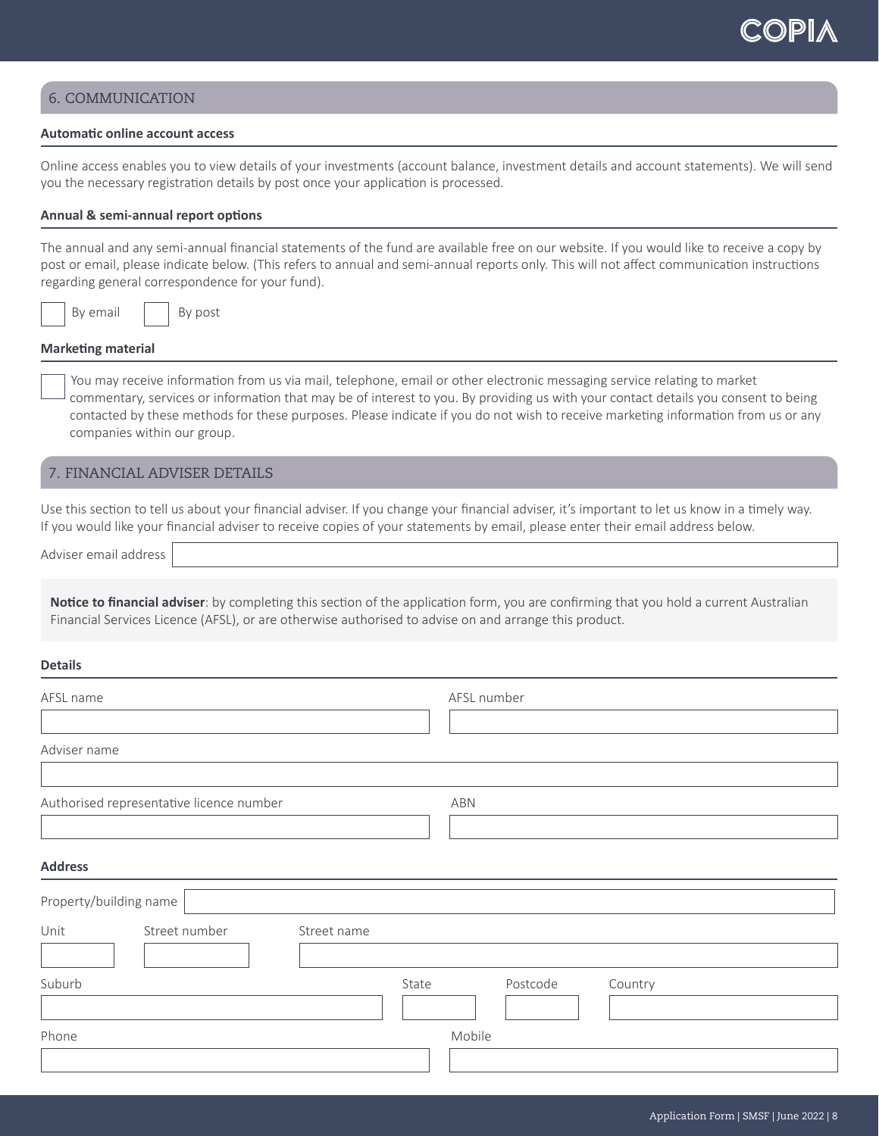## 6. COMMUNICATION

### **Automatic online account access**

Online access enables you to view details of your investments (account balance, investment details and account statements). We will send you the necessary registration details by post once your application is processed.

#### **Annual & semi-annual report options**

The annual and any semi-annual financial statements of the fund are available free on our website. If you would like to receive a copy by post or email, please indicate below. (This refers to annual and semi-annual reports only. This will not affect communication instructions regarding general correspondence for your fund).

By email | By post

#### **Marketing material**

 You may receive information from us via mail, telephone, email or other electronic messaging service relating to market commentary, services or information that may be of interest to you. By providing us with your contact details you consent to being contacted by these methods for these purposes. Please indicate if you do not wish to receive marketing information from us or any companies within our group.

## 7. FINANCIAL ADVISER DETAILS

Use this section to tell us about your financial adviser. If you change your financial adviser, it's important to let us know in a timely way. If you would like your financial adviser to receive copies of your statements by email, please enter their email address below.

Adviser email address

**Notice to financial adviser**: by completing this section of the application form, you are confirming that you hold a current Australian Financial Services Licence (AFSL), or are otherwise authorised to advise on and arrange this product.

#### **Details**

| AFSL name                                | AFSL number                  |
|------------------------------------------|------------------------------|
| Adviser name                             |                              |
| Authorised representative licence number | ABN                          |
| <b>Address</b>                           |                              |
| Property/building name                   |                              |
| Unit<br>Street number<br>Street name     |                              |
| Suburb                                   | Postcode<br>State<br>Country |
| Phone                                    | Mobile                       |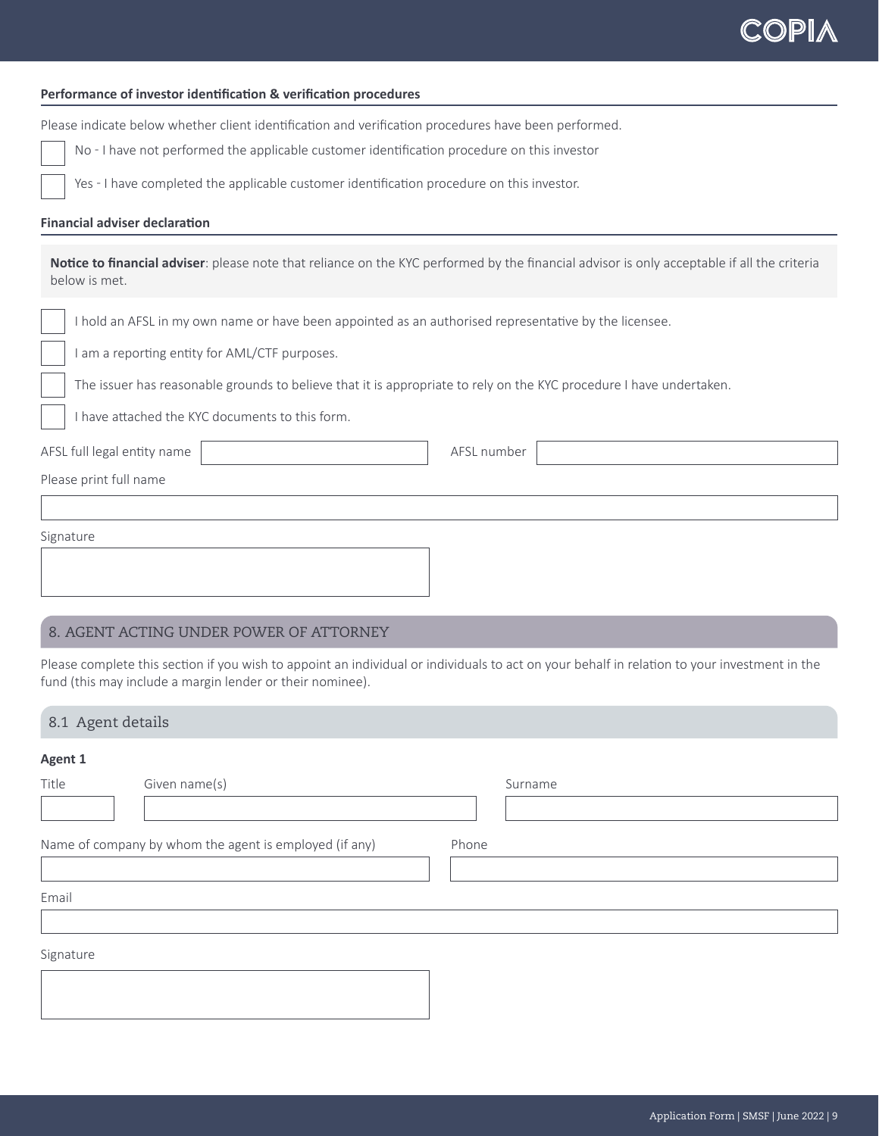#### **Performance of investor identification & verification procedures**

Please indicate below whether client identification and verification procedures have been performed.

No - I have not performed the applicable customer identification procedure on this investor

Yes - I have completed the applicable customer identification procedure on this investor.

#### **Financial adviser declaration**

**Notice to financial adviser**: please note that reliance on the KYC performed by the financial advisor is only acceptable if all the criteria below is met.

I hold an AFSL in my own name or have been appointed as an authorised representative by the licensee.

I am a reporting entity for AML/CTF purposes.

The issuer has reasonable grounds to believe that it is appropriate to rely on the KYC procedure I have undertaken.

I have attached the KYC documents to this form.

AFSL full legal entity name

Please print full name

| Signature |  |  |  |
|-----------|--|--|--|
|           |  |  |  |
|           |  |  |  |
|           |  |  |  |

## 8. AGENT ACTING UNDER POWER OF ATTORNEY

Please complete this section if you wish to appoint an individual or individuals to act on your behalf in relation to your investment in the fund (this may include a margin lender or their nominee).

### 8.1 Agent details

#### **Agent 1**

| Title     | Given name(s)                                          | Surname |
|-----------|--------------------------------------------------------|---------|
|           |                                                        |         |
|           | Name of company by whom the agent is employed (if any) | Phone   |
|           |                                                        |         |
| Email     |                                                        |         |
|           |                                                        |         |
| Signature |                                                        |         |
|           |                                                        |         |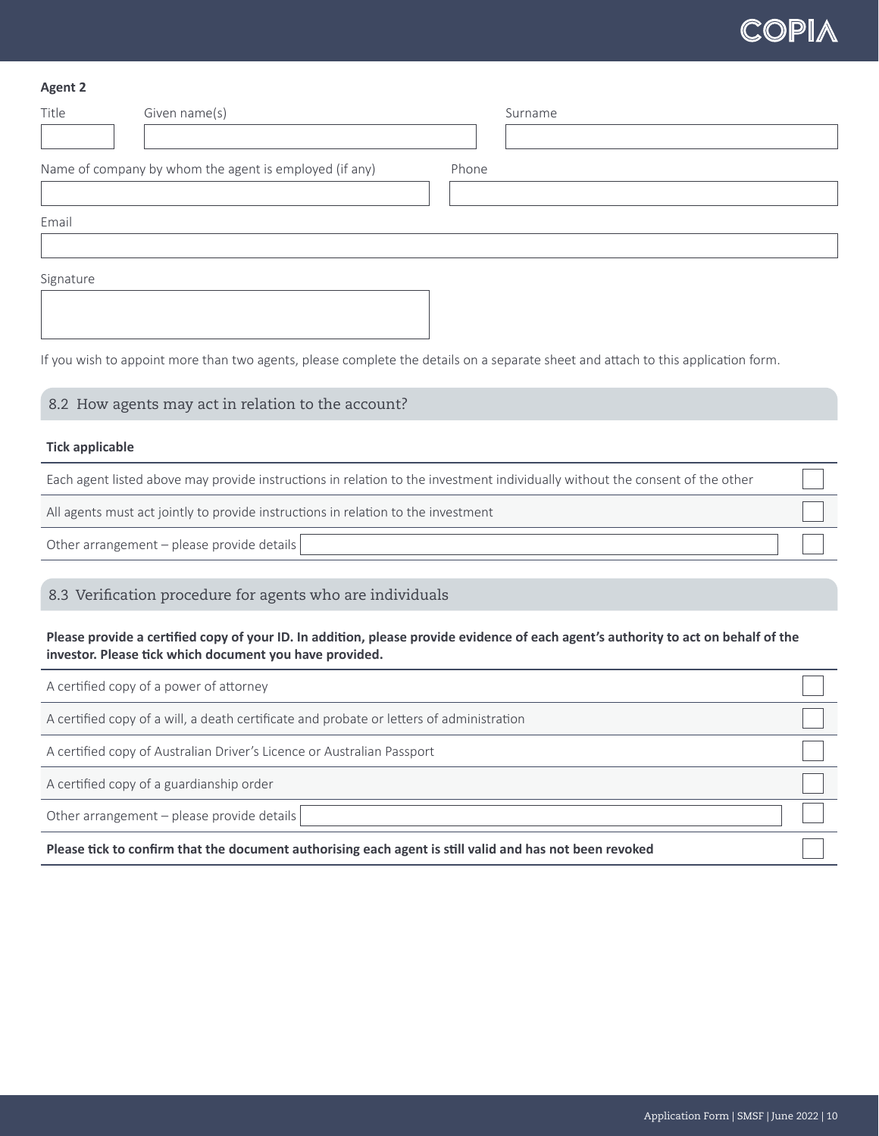#### **Agent 2**

| Title     | Given name(s)                                          | Surname                                                                                                                           |
|-----------|--------------------------------------------------------|-----------------------------------------------------------------------------------------------------------------------------------|
|           |                                                        |                                                                                                                                   |
|           | Name of company by whom the agent is employed (if any) | Phone                                                                                                                             |
|           |                                                        |                                                                                                                                   |
| Email     |                                                        |                                                                                                                                   |
|           |                                                        |                                                                                                                                   |
| Signature |                                                        |                                                                                                                                   |
|           |                                                        |                                                                                                                                   |
|           |                                                        |                                                                                                                                   |
|           |                                                        | If you wish to appoint more than two agents, please complete the details on a separate sheet and attach to this application form. |

# 8.2 How agents may act in relation to the account?

#### **Tick applicable**

Each agent listed above may provide instructions in relation to the investment individually without the consent of the other

All agents must act jointly to provide instructions in relation to the investment

Other arrangement – please provide details

# 8.3 Verification procedure for agents who are individuals

**Please provide a certified copy of your ID. In addition, please provide evidence of each agent's authority to act on behalf of the investor. Please tick which document you have provided.**

| A certified copy of a power of attorney                                                                 |  |
|---------------------------------------------------------------------------------------------------------|--|
| A certified copy of a will, a death certificate and probate or letters of administration                |  |
| A certified copy of Australian Driver's Licence or Australian Passport                                  |  |
| A certified copy of a guardianship order                                                                |  |
| Other arrangement - please provide details                                                              |  |
| Please tick to confirm that the document authorising each agent is still valid and has not been revoked |  |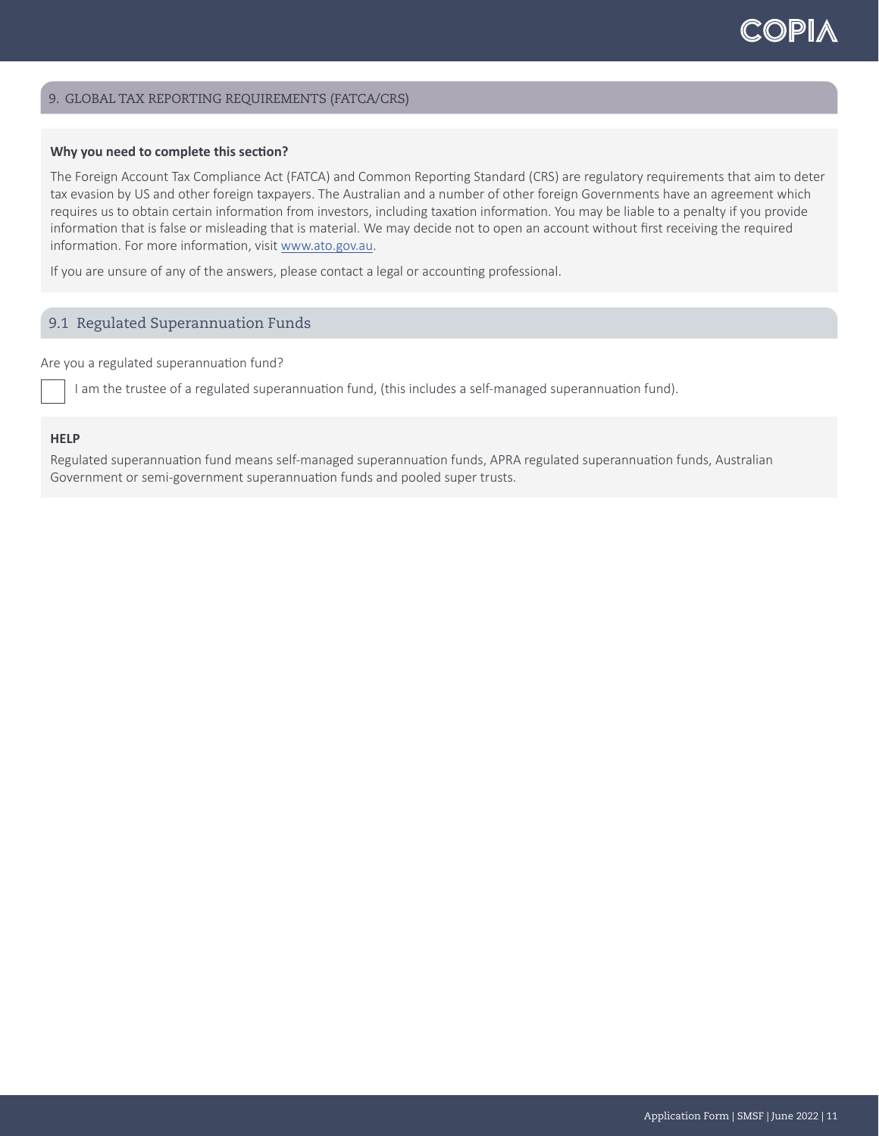#### 9. GLOBAL TAX REPORTING REQUIREMENTS (FATCA/CRS)

#### **Why you need to complete this section?**

The Foreign Account Tax Compliance Act (FATCA) and Common Reporting Standard (CRS) are regulatory requirements that aim to deter tax evasion by US and other foreign taxpayers. The Australian and a number of other foreign Governments have an agreement which requires us to obtain certain information from investors, including taxation information. You may be liable to a penalty if you provide information that is false or misleading that is material. We may decide not to open an account without first receiving the required information. For more information, visit [www.ato.gov.au](http://www.ato.gov.au).

If you are unsure of any of the answers, please contact a legal or accounting professional.

## 9.1 Regulated Superannuation Funds

Are you a regulated superannuation fund?

I am the trustee of a regulated superannuation fund, (this includes a self-managed superannuation fund).

#### **HELP**

Regulated superannuation fund means self-managed superannuation funds, APRA regulated superannuation funds, Australian Government or semi-government superannuation funds and pooled super trusts.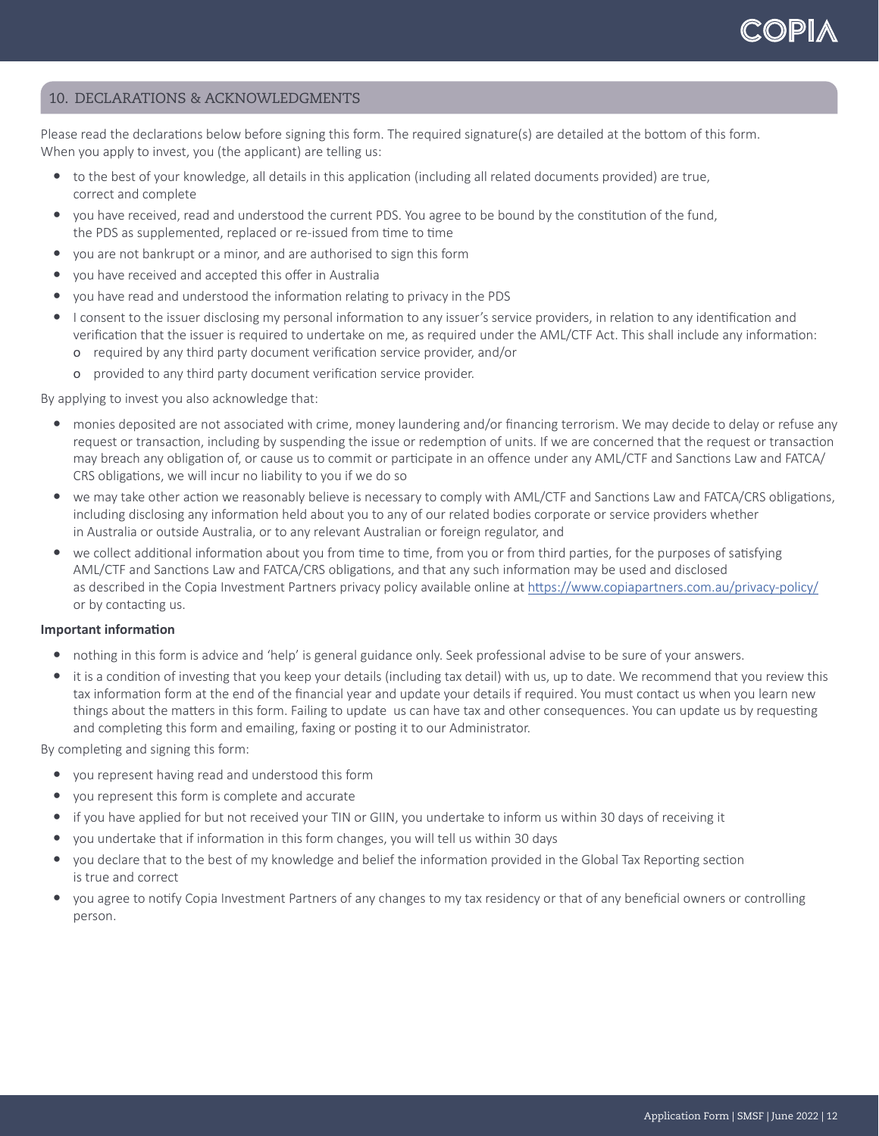## 10. DECLARATIONS & ACKNOWLEDGMENTS

Please read the declarations below before signing this form. The required signature(s) are detailed at the bottom of this form. When you apply to invest, you (the applicant) are telling us:

- to the best of your knowledge, all details in this application (including all related documents provided) are true, correct and complete
- y you have received, read and understood the current PDS. You agree to be bound by the constitution of the fund, the PDS as supplemented, replaced or re-issued from time to time
- you are not bankrupt or a minor, and are authorised to sign this form
- you have received and accepted this offer in Australia
- y you have read and understood the information relating to privacy in the PDS
- I consent to the issuer disclosing my personal information to any issuer's service providers, in relation to any identification and verification that the issuer is required to undertake on me, as required under the AML/CTF Act. This shall include any information: о required by any third party document verification service provider, and/or
	- о provided to any third party document verification service provider.

By applying to invest you also acknowledge that:

- monies deposited are not associated with crime, money laundering and/or financing terrorism. We may decide to delay or refuse any request or transaction, including by suspending the issue or redemption of units. If we are concerned that the request or transaction may breach any obligation of, or cause us to commit or participate in an offence under any AML/CTF and Sanctions Law and FATCA/ CRS obligations, we will incur no liability to you if we do so
- we may take other action we reasonably believe is necessary to comply with AML/CTF and Sanctions Law and FATCA/CRS obligations, including disclosing any information held about you to any of our related bodies corporate or service providers whether in Australia or outside Australia, or to any relevant Australian or foreign regulator, and
- we collect additional information about you from time to time, from you or from third parties, for the purposes of satisfying AML/CTF and Sanctions Law and FATCA/CRS obligations, and that any such information may be used and disclosed as described in the Copia Investment Partners privacy policy available online at <https://www.copiapartners.com.au/privacy-policy/> or by contacting us.

#### **Important information**

- nothing in this form is advice and 'help' is general guidance only. Seek professional advise to be sure of your answers.
- it is a condition of investing that you keep your details (including tax detail) with us, up to date. We recommend that you review this tax information form at the end of the financial year and update your details if required. You must contact us when you learn new things about the matters in this form. Failing to update us can have tax and other consequences. You can update us by requesting and completing this form and emailing, faxing or posting it to our Administrator.

By completing and signing this form:

- you represent having read and understood this form
- you represent this form is complete and accurate
- if you have applied for but not received your TIN or GIIN, you undertake to inform us within 30 days of receiving it
- y you undertake that if information in this form changes, you will tell us within 30 days
- you declare that to the best of my knowledge and belief the information provided in the Global Tax Reporting section is true and correct
- y you agree to notify Copia Investment Partners of any changes to my tax residency or that of any beneficial owners or controlling person.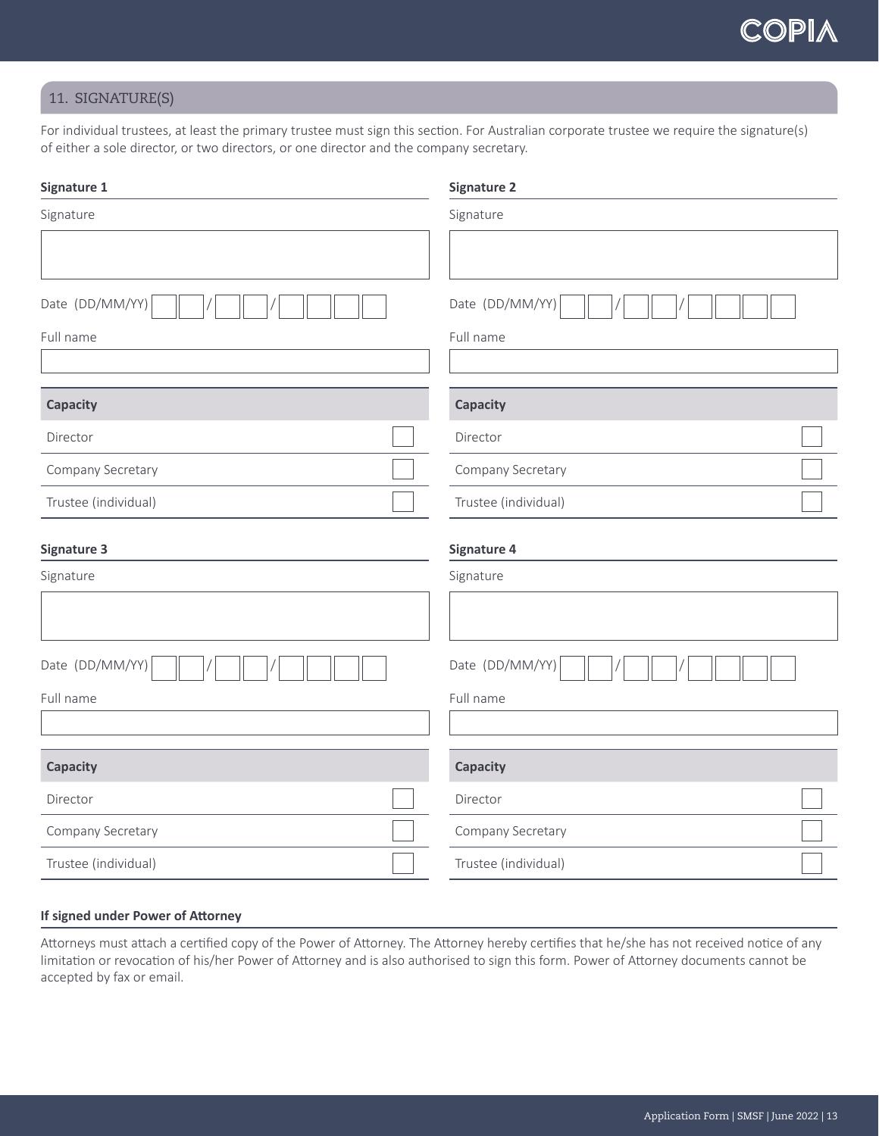## 11. SIGNATURE(S)

For individual trustees, at least the primary trustee must sign this section. For Australian corporate trustee we require the signature(s) of either a sole director, or two directors, or one director and the company secretary.

| Signature 1          | <b>Signature 2</b>   |
|----------------------|----------------------|
| Signature            | Signature            |
|                      |                      |
| Date (DD/MM/YY)      | Date (DD/MM/YY)      |
| Full name            | Full name            |
|                      |                      |
| Capacity             | Capacity             |
| Director             | Director             |
| Company Secretary    | Company Secretary    |
| Trustee (individual) | Trustee (individual) |
| <b>Signature 3</b>   | <b>Signature 4</b>   |
| Signature            | Signature            |
|                      |                      |
| Date (DD/MM/YY)      | Date (DD/MM/YY)      |
| Full name            | Full name            |
|                      |                      |
| Capacity             | Capacity             |
| Director             | Director             |
| Company Secretary    | Company Secretary    |
|                      |                      |

## **If signed under Power of Attorney**

Attorneys must attach a certified copy of the Power of Attorney. The Attorney hereby certifies that he/she has not received notice of any limitation or revocation of his/her Power of Attorney and is also authorised to sign this form. Power of Attorney documents cannot be accepted by fax or email.